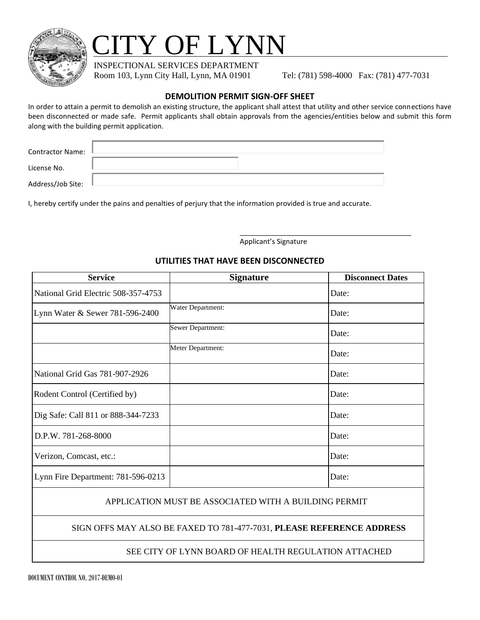

# **TY OF LYNN**

INSPECTIONAL SERVICES DEPARTMENT

Room 103, Lynn City Hall, Lynn, MA 01901 Tel: (781) 598-4000 Fax: (781) 477-7031

## **DEMOLITION PERMIT SIGN-OFF SHEET**

In order to attain a permit to demolish an existing structure, the applicant shall attest that utility and other service connections have been disconnected or made safe. Permit applicants shall obtain approvals from the agencies/entities below and submit this form along with the building permit application.

| <b>Contractor Name:</b> |  |
|-------------------------|--|
|                         |  |
| License No.<br>.        |  |

Address/Job Site: L

I, hereby certify under the pains and penalties of perjury that the information provided is true and accurate.

Applicant's Signature

\_\_\_\_\_\_\_\_\_\_\_\_\_\_\_\_\_\_\_\_\_\_\_\_\_\_\_\_\_\_\_\_\_\_\_\_\_\_\_\_\_\_\_\_

#### **UTILITIES THAT HAVE BEEN DISCONNECTED**

| <b>Service</b>                      | <b>Signature</b>  | <b>Disconnect Dates</b> |
|-------------------------------------|-------------------|-------------------------|
| National Grid Electric 508-357-4753 |                   | Date:                   |
| Lynn Water & Sewer 781-596-2400     | Water Department: | Date:                   |
|                                     | Sewer Department: | Date:                   |
|                                     | Meter Department: | Date:                   |
| National Grid Gas 781-907-2926      |                   | Date:                   |
| Rodent Control (Certified by)       |                   | Date:                   |
| Dig Safe: Call 811 or 888-344-7233  |                   | Date:                   |
| D.P.W. 781-268-8000                 |                   | Date:                   |
| Verizon, Comcast, etc.:             |                   | Date:                   |
| Lynn Fire Department: 781-596-0213  |                   | Date:                   |

### APPLICATION MUST BE ASSOCIATED WITH A BUILDING PERMIT

### SIGN OFFS MAY ALSO BE FAXED TO 781-477-7031, **PLEASE REFERENCE ADDRESS**

### SEE CITY OF LYNN BOARD OF HEALTH REGULATION ATTACHED